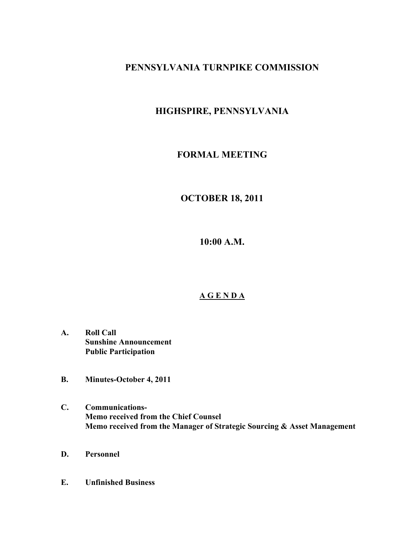### **PENNSYLVANIA TURNPIKE COMMISSION**

# **HIGHSPIRE, PENNSYLVANIA**

### **FORMAL MEETING**

## **OCTOBER 18, 2011**

**10:00 A.M.**

## **A G E N D A**

- **A. Roll Call Sunshine Announcement Public Participation**
- **B. Minutes-October 4, 2011**
- **C. Communications-Memo received from the Chief Counsel Memo received from the Manager of Strategic Sourcing & Asset Management**
- **D. Personnel**
- **E. Unfinished Business**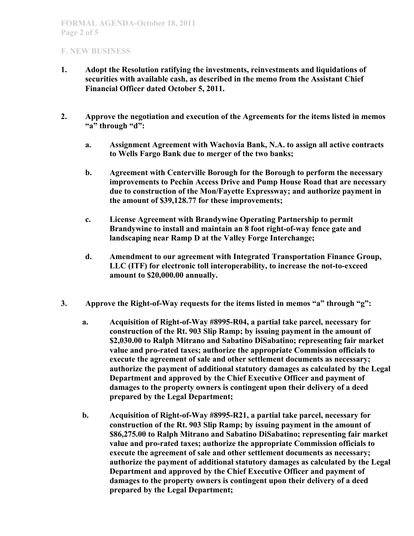- **1. Adopt the Resolution ratifying the investments, reinvestments and liquidations of securities with available cash, as described in the memo from the Assistant Chief Financial Officer dated October 5, 2011.**
- **2. Approve the negotiation and execution of the Agreements for the items listed in memos "a" through "d":**
	- **a. Assignment Agreement with Wachovia Bank, N.A. to assign all active contracts to Wells Fargo Bank due to merger of the two banks;**
	- **b. Agreement with Centerville Borough for the Borough to perform the necessary improvements to Pechin Access Drive and Pump House Road that are necessary due to construction of the Mon/Fayette Expressway; and authorize payment in the amount of \$39,128.77 for these improvements;**
	- **c. License Agreement with Brandywine Operating Partnership to permit Brandywine to install and maintain an 8 foot right-of-way fence gate and landscaping near Ramp D at the Valley Forge Interchange;**
	- **d. Amendment to our agreement with Integrated Transportation Finance Group, LLC (ITF) for electronic toll interoperability, to increase the not-to-exceed amount to \$20,000.00 annually.**
- **3. Approve the Right-of-Way requests for the items listed in memos "a" through "g":**
	- **a. Acquisition of Right-of-Way #8995-R04, a partial take parcel, necessary for construction of the Rt. 903 Slip Ramp; by issuing payment in the amount of \$2,030.00 to Ralph Mitrano and Sabatino DiSabatino; representing fair market value and pro-rated taxes; authorize the appropriate Commission officials to execute the agreement of sale and other settlement documents as necessary; authorize the payment of additional statutory damages as calculated by the Legal Department and approved by the Chief Executive Officer and payment of damages to the property owners is contingent upon their delivery of a deed prepared by the Legal Department;**
	- **b. Acquisition of Right-of-Way #8995-R21, a partial take parcel, necessary for construction of the Rt. 903 Slip Ramp; by issuing payment in the amount of \$86,275.00 to Ralph Mitrano and Sabatino DiSabatino; representing fair market value and pro-rated taxes; authorize the appropriate Commission officials to execute the agreement of sale and other settlement documents as necessary; authorize the payment of additional statutory damages as calculated by the Legal Department and approved by the Chief Executive Officer and payment of damages to the property owners is contingent upon their delivery of a deed prepared by the Legal Department;**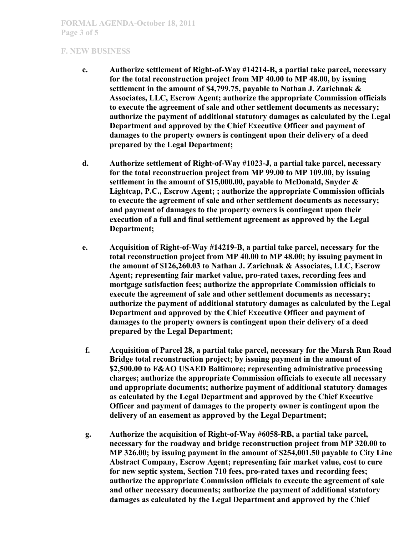- **c. Authorize settlement of Right-of-Way #14214-B, a partial take parcel, necessary for the total reconstruction project from MP 40.00 to MP 48.00, by issuing settlement in the amount of \$4,799.75, payable to Nathan J. Zarichnak & Associates, LLC, Escrow Agent; authorize the appropriate Commission officials to execute the agreement of sale and other settlement documents as necessary; authorize the payment of additional statutory damages as calculated by the Legal Department and approved by the Chief Executive Officer and payment of damages to the property owners is contingent upon their delivery of a deed prepared by the Legal Department;**
- **d. Authorize settlement of Right-of-Way #1023-J, a partial take parcel, necessary for the total reconstruction project from MP 99.00 to MP 109.00, by issuing settlement in the amount of \$15,000.00, payable to McDonald, Snyder & Lightcap, P.C., Escrow Agent; ; authorize the appropriate Commission officials to execute the agreement of sale and other settlement documents as necessary; and payment of damages to the property owners is contingent upon their execution of a full and final settlement agreement as approved by the Legal Department;**
- **e. Acquisition of Right-of-Way #14219-B, a partial take parcel, necessary for the total reconstruction project from MP 40.00 to MP 48.00; by issuing payment in the amount of \$126,260.03 to Nathan J. Zarichnak & Associates, LLC, Escrow Agent; representing fair market value, pro-rated taxes, recording fees and mortgage satisfaction fees; authorize the appropriate Commission officials to execute the agreement of sale and other settlement documents as necessary; authorize the payment of additional statutory damages as calculated by the Legal Department and approved by the Chief Executive Officer and payment of damages to the property owners is contingent upon their delivery of a deed prepared by the Legal Department;**
- **f. Acquisition of Parcel 28, a partial take parcel, necessary for the Marsh Run Road Bridge total reconstruction project; by issuing payment in the amount of \$2,500.00 to F&AO USAED Baltimore; representing administrative processing charges; authorize the appropriate Commission officials to execute all necessary and appropriate documents; authorize payment of additional statutory damages as calculated by the Legal Department and approved by the Chief Executive Officer and payment of damages to the property owner is contingent upon the delivery of an easement as approved by the Legal Department;**
- **g. Authorize the acquisition of Right-of-Way #6058-RB, a partial take parcel, necessary for the roadway and bridge reconstruction project from MP 320.00 to MP 326.00; by issuing payment in the amount of \$254,001.50 payable to City Line Abstract Company, Escrow Agent; representing fair market value, cost to cure for new septic system, Section 710 fees, pro-rated taxes and recording fees; authorize the appropriate Commission officials to execute the agreement of sale and other necessary documents; authorize the payment of additional statutory damages as calculated by the Legal Department and approved by the Chief**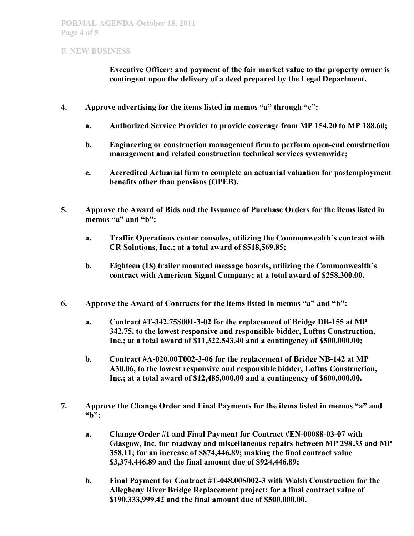**Executive Officer; and payment of the fair market value to the property owner is contingent upon the delivery of a deed prepared by the Legal Department.**

- **4. Approve advertising for the items listed in memos "a" through "c":**
	- **a. Authorized Service Provider to provide coverage from MP 154.20 to MP 188.60;**
	- **b. Engineering or construction management firm to perform open-end construction management and related construction technical services systemwide;**
	- **c. Accredited Actuarial firm to complete an actuarial valuation for postemployment benefits other than pensions (OPEB).**
- **5. Approve the Award of Bids and the Issuance of Purchase Orders for the items listed in memos "a" and "b":**
	- **a. Traffic Operations center consoles, utilizing the Commonwealth's contract with CR Solutions, Inc.; at a total award of \$518,569.85;**
	- **b. Eighteen (18) trailer mounted message boards, utilizing the Commonwealth's contract with American Signal Company; at a total award of \$258,300.00.**
- **6. Approve the Award of Contracts for the items listed in memos "a" and "b":**
	- **a. Contract #T-342.75S001-3-02 for the replacement of Bridge DB-155 at MP 342.75, to the lowest responsive and responsible bidder, Loftus Construction, Inc.; at a total award of \$11,322,543.40 and a contingency of \$500,000.00;**
	- **b. Contract #A-020.00T002-3-06 for the replacement of Bridge NB-142 at MP A30.06, to the lowest responsive and responsible bidder, Loftus Construction, Inc.; at a total award of \$12,485,000.00 and a contingency of \$600,000.00.**
- **7. Approve the Change Order and Final Payments for the items listed in memos "a" and "b":**
	- **a. Change Order #1 and Final Payment for Contract #EN-00088-03-07 with Glasgow, Inc. for roadway and miscellaneous repairs between MP 298.33 and MP 358.11; for an increase of \$874,446.89; making the final contract value \$3,374,446.89 and the final amount due of \$924,446.89;**
	- **b. Final Payment for Contract #T-048.00S002-3 with Walsh Construction for the Allegheny River Bridge Replacement project; for a final contract value of \$190,333,999.42 and the final amount due of \$500,000.00.**